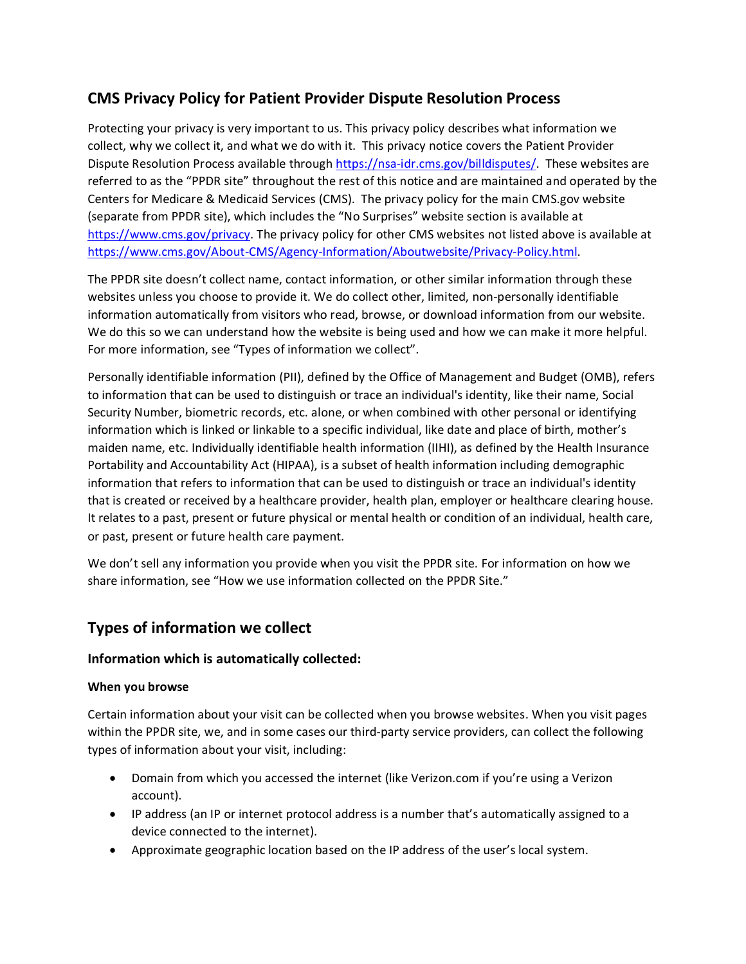# **CMS Privacy Policy for Patient Provider Dispute Resolution Process**

Protecting your privacy is very important to us. This privacy policy describes what information we collect, why we collect it, and what we do with it. This privacy notice covers the Patient Provider Dispute Resolution Process available through [https://nsa-idr.cms.gov/billdisputes/.](https://nsa-idr.cms.gov/billdisputes/) These websites are referred to as the "PPDR site" throughout the rest of this notice and are maintained and operated by the Centers for Medicare & Medicaid Services (CMS). The privacy policy for the main CMS.gov website (separate from PPDR site), which includes the "No Surprises" website section is available at [https://www.cms.gov/privacy.](https://www.cms.gov/privacy) The privacy policy for other CMS websites not listed above is available at [https://www.cms.gov/About-CMS/Agency-Information/Aboutwebsite/Privacy-Policy.html.](https://www.cms.gov/About-CMS/Agency-Information/Aboutwebsite/Privacy-Policy.html)

The PPDR site doesn't collect name, contact information, or other similar information through these websites unless you choose to provide it. We do collect other, limited, non-personally identifiable information automatically from visitors who read, browse, or download information from our website. We do this so we can understand how the website is being used and how we can make it more helpful. For more information, see "Types of information we collect".

Personally identifiable information (PII), defined by the Office of Management and Budget (OMB), refers to information that can be used to distinguish or trace an individual's identity, like their name, Social Security Number, biometric records, etc. alone, or when combined with other personal or identifying information which is linked or linkable to a specific individual, like date and place of birth, mother's maiden name, etc. Individually identifiable health information (IIHI), as defined by the Health Insurance Portability and Accountability Act (HIPAA), is a subset of health information including demographic information that refers to information that can be used to distinguish or trace an individual's identity that is created or received by a healthcare provider, health plan, employer or healthcare clearing house. It relates to a past, present or future physical or mental health or condition of an individual, health care, or past, present or future health care payment.

We don't sell any information you provide when you visit the PPDR site. For information on how we share information, see "How we use information collected on the PPDR Site."

# **Types of information we collect**

# **Information which is automatically collected:**

# **When you browse**

Certain information about your visit can be collected when you browse websites. When you visit pages within the PPDR site, we, and in some cases our third-party service providers, can collect the following types of information about your visit, including:

- Domain from which you accessed the internet (like Verizon.com if you're using a Verizon account).
- IP address (an IP or internet protocol address is a number that's automatically assigned to a device connected to the internet).
- Approximate geographic location based on the IP address of the user's local system.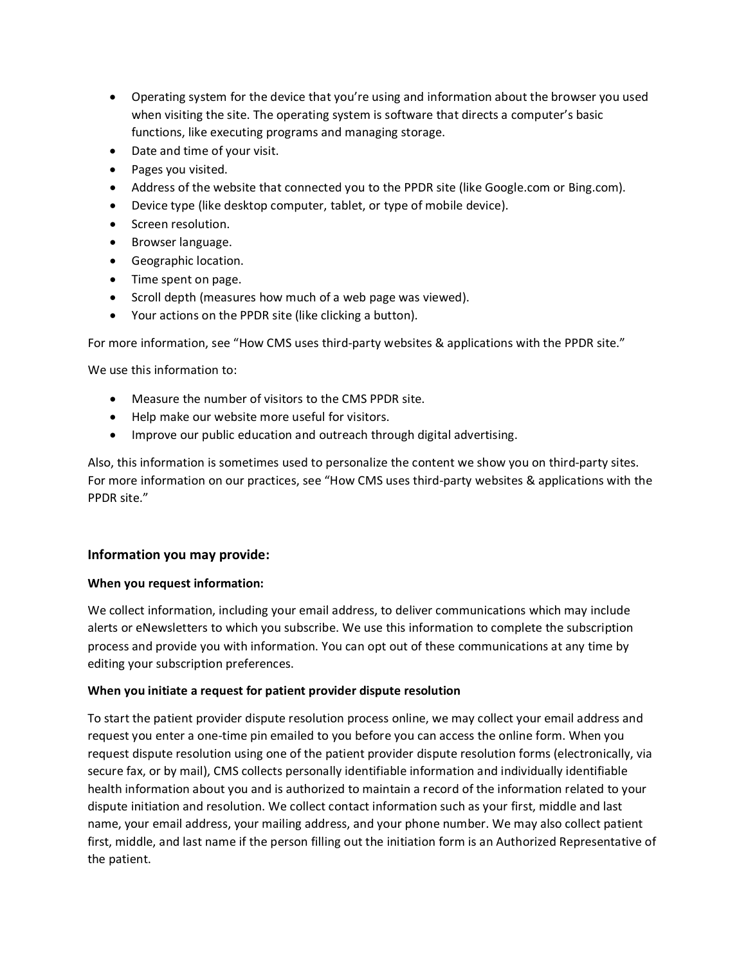- Operating system for the device that you're using and information about the browser you used when visiting the site. The operating system is software that directs a computer's basic functions, like executing programs and managing storage.
- Date and time of your visit.
- Pages you visited.
- Address of the website that connected you to the PPDR site (like Google.com or Bing.com).
- Device type (like desktop computer, tablet, or type of mobile device).
- Screen resolution.
- Browser language.
- Geographic location.
- Time spent on page.
- Scroll depth (measures how much of a web page was viewed).
- Your actions on the PPDR site (like clicking a button).

For more information, see "How CMS uses third-party websites & applications with the PPDR site."

We use this information to:

- Measure the number of visitors to the CMS PPDR site.
- Help make our website more useful for visitors.
- Improve our public education and outreach through digital advertising.

Also, this information is sometimes used to personalize the content we show you on third-party sites. For more information on our practices, see "How CMS uses third-party websites & applications with the PPDR site."

# **Information you may provide:**

## **When you request information:**

We collect information, including your email address, to deliver communications which may include alerts or eNewsletters to which you subscribe. We use this information to complete the subscription process and provide you with information. You can opt out of these communications at any time by editing your subscription preferences.

## **When you initiate a request for patient provider dispute resolution**

To start the patient provider dispute resolution process online, we may collect your email address and request you enter a one-time pin emailed to you before you can access the online form. When you request dispute resolution using one of the patient provider dispute resolution forms (electronically, via secure fax, or by mail), CMS collects personally identifiable information and individually identifiable health information about you and is authorized to maintain a record of the information related to your dispute initiation and resolution. We collect contact information such as your first, middle and last name, your email address, your mailing address, and your phone number. We may also collect patient first, middle, and last name if the person filling out the initiation form is an Authorized Representative of the patient.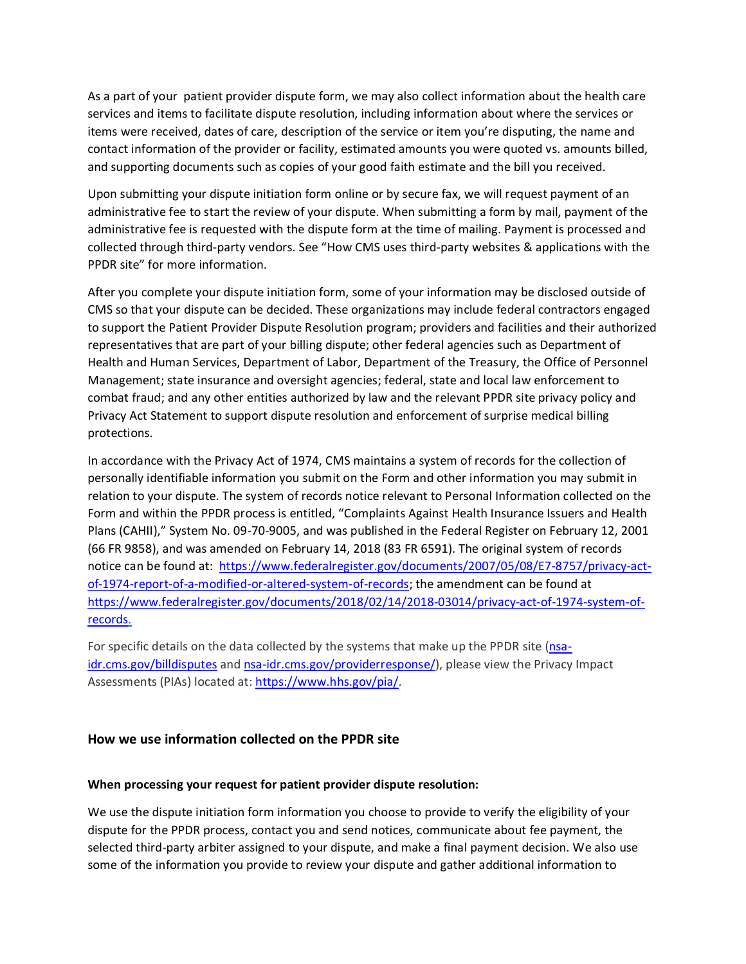As a part of your patient provider dispute form, we may also collect information about the health care services and items to facilitate dispute resolution, including information about where the services or items were received, dates of care, description of the service or item you're disputing, the name and contact information of the provider or facility, estimated amounts you were quoted vs. amounts billed, and supporting documents such as copies of your good faith estimate and the bill you received.

Upon submitting your dispute initiation form online or by secure fax, we will request payment of an administrative fee to start the review of your dispute. When submitting a form by mail, payment of the administrative fee is requested with the dispute form at the time of mailing. Payment is processed and collected through third-party vendors. See "How CMS uses third-party websites & applications with the PPDR site" for more information.

After you complete your dispute initiation form, some of your information may be disclosed outside of CMS so that your dispute can be decided. These organizations may include federal contractors engaged to support the Patient Provider Dispute Resolution program; providers and facilities and their authorized representatives that are part of your billing dispute; other federal agencies such as Department of Health and Human Services, Department of Labor, Department of the Treasury, the Office of Personnel Management; state insurance and oversight agencies; federal, state and local law enforcement to combat fraud; and any other entities authorized by law and the relevant PPDR site privacy policy and Privacy Act Statement to support dispute resolution and enforcement of surprise medical billing protections.

In accordance with the Privacy Act of 1974, CMS maintains a system of records for the collection of personally identifiable information you submit on the Form and other information you may submit in relation to your dispute. The system of records notice relevant to Personal Information collected on the Form and within the PPDR process is entitled, "Complaints Against Health Insurance Issuers and Health Plans (CAHII)," System No. 09-70-9005, and was published in the Federal Register on February 12, 2001 (66 FR 9858), and was amended on February 14, 2018 (83 FR 6591). The original system of records notice can be found at: https://www.federalregister.gov/documents/2007/05/08/E7-8757/privacy-actof-1974-report-of-a-modified-or-altered-system-of-records; the amendment can be found at https://www.federalregister.gov/documents/2018/02/14/2018-03014/privacy-act-of-1974-system-ofrecords.

For specific details on the data collected by the systems that make up the PPDR site [\(nsa](https://nsa-idr.cms.gov/billdisputes/)[idr.cms.gov/billdisputes](https://nsa-idr.cms.gov/billdisputes/) and [nsa-idr.cms.gov/providerresponse/\)](https://nsa-idr.cms.gov/providerresponse/), please view the Privacy Impact Assessments (PIAs) located at: [https://www.hhs.gov/pia/.](https://www.hhs.gov/pia/)

## **How we use information collected on the PPDR site**

## **When processing your request for patient provider dispute resolution:**

We use the dispute initiation form information you choose to provide to verify the eligibility of your dispute for the PPDR process, contact you and send notices, communicate about fee payment, the selected third-party arbiter assigned to your dispute, and make a final payment decision. We also use some of the information you provide to review your dispute and gather additional information to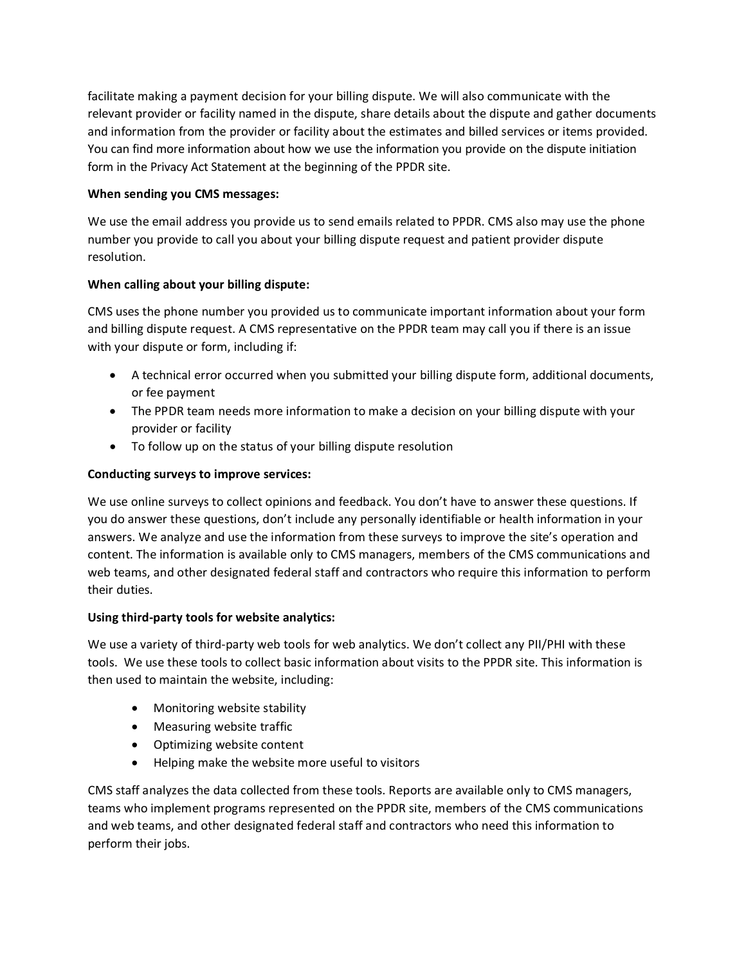facilitate making a payment decision for your billing dispute. We will also communicate with the relevant provider or facility named in the dispute, share details about the dispute and gather documents and information from the provider or facility about the estimates and billed services or items provided. You can find more information about how we use the information you provide on the dispute initiation form in the Privacy Act Statement at t[he beginning of the PPDR site](https://www.cms.gov/nosurprises/privacy).

# **When sending you CMS messages:**

We use the email address you provide us to send emails related to PPDR. CMS also may use the phone number you provide to call you about your billing dispute request and patient provider dispute resolution.

# **When calling about your billing dispute:**

CMS uses the phone number you provided us to communicate important information about your form and billing dispute request. A CMS representative on the PPDR team may call you if there is an issue with your dispute or form, including if:

- A technical error occurred when you submitted your billing dispute form, additional documents, or fee payment
- The PPDR team needs more information to make a decision on your billing dispute with your provider or facility
- To follow up on the status of your billing dispute resolution

# **Conducting surveys to improve services:**

We use online surveys to collect opinions and feedback. You don't have to answer these questions. If you do answer these questions, don't include any personally identifiable or health information in your answers. We analyze and use the information from these surveys to improve the site's operation and content. The information is available only to CMS managers, members of the CMS communications and web teams, and other designated federal staff and contractors who require this information to perform their duties.

## **Using third-party tools for website analytics:**

We use a variety of third-party web tools for web analytics. We don't collect any PII/PHI with these tools. We use these tools to collect basic information about visits to the PPDR site. This information is then used to maintain the website, including:

- Monitoring website stability
- Measuring website traffic
- Optimizing website content
- Helping make the website more useful to visitors

CMS staff analyzes the data collected from these tools. Reports are available only to CMS managers, teams who implement programs represented on the PPDR site, members of the CMS communications and web teams, and other designated federal staff and contractors who need this information to perform their jobs.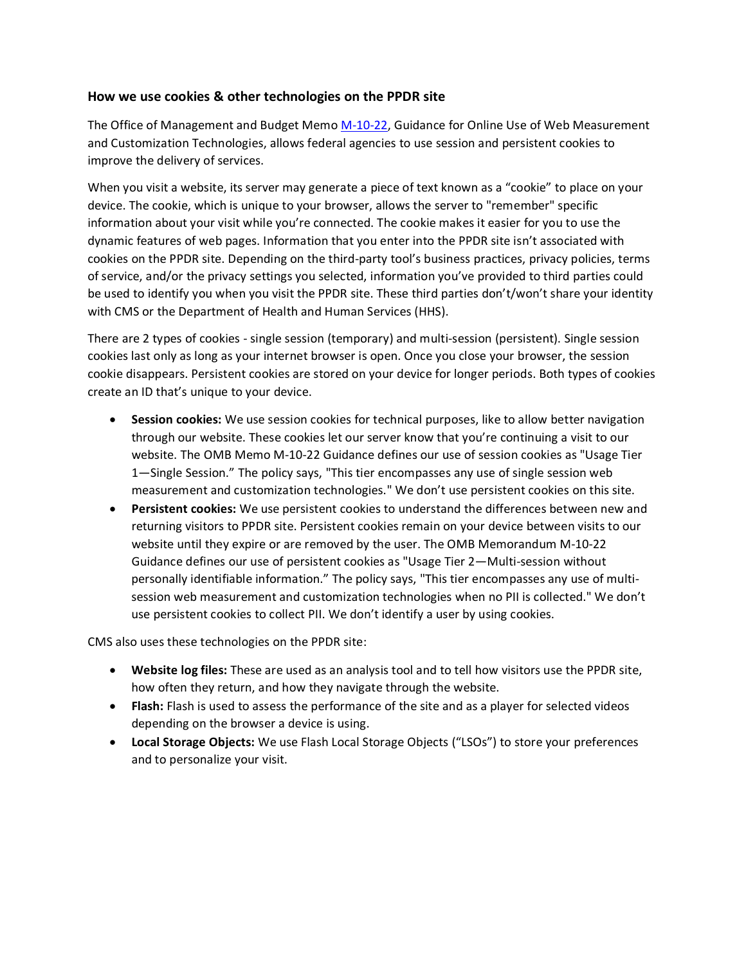## **How we use cookies & other technologies on the PPDR site**

The Office of Management and Budget Memo [M-10-22,](https://www.whitehouse.gov/sites/whitehouse.gov/files/omb/memoranda/2010/m10-22.pdf) Guidance for Online Use of Web Measurement and Customization Technologies, allows federal agencies to use session and persistent cookies to improve the delivery of services.

When you visit a website, its server may generate a piece of text known as a "cookie" to place on your device. The cookie, which is unique to your browser, allows the server to "remember" specific information about your visit while you're connected. The cookie makes it easier for you to use the dynamic features of web pages. Information that you enter into the PPDR site isn't associated with cookies on the PPDR site. Depending on the third-party tool's business practices, privacy policies, terms of service, and/or the privacy settings you selected, information you've provided to third parties could be used to identify you when you visit the PPDR site. These third parties don't/won't share your identity with CMS or the Department of Health and Human Services (HHS).

There are 2 types of cookies - single session (temporary) and multi-session (persistent). Single session cookies last only as long as your internet browser is open. Once you close your browser, the session cookie disappears. Persistent cookies are stored on your device for longer periods. Both types of cookies create an ID that's unique to your device.

- **Session cookies:** We use session cookies for technical purposes, like to allow better navigation through our website. These cookies let our server know that you're continuing a visit to our website. The OMB Memo M-10-22 Guidance defines our use of session cookies as "Usage Tier 1—Single Session." The policy says, "This tier encompasses any use of single session web measurement and customization technologies." We don't use persistent cookies on this site.
- **Persistent cookies:** We use persistent cookies to understand the differences between new and returning visitors to PPDR site. Persistent cookies remain on your device between visits to our website until they expire or are removed by the user. The OMB Memorandum M-10-22 Guidance defines our use of persistent cookies as "Usage Tier 2—Multi-session without personally identifiable information." The policy says, "This tier encompasses any use of multisession web measurement and customization technologies when no PII is collected." We don't use persistent cookies to collect PII. We don't identify a user by using cookies.

CMS also uses these technologies on the PPDR site:

- **Website log files:** These are used as an analysis tool and to tell how visitors use the PPDR site, how often they return, and how they navigate through the website.
- **Flash:** Flash is used to assess the performance of the site and as a player for selected videos depending on the browser a device is using.
- **Local Storage Objects:** We use Flash Local Storage Objects ("LSOs") to store your preferences and to personalize your visit.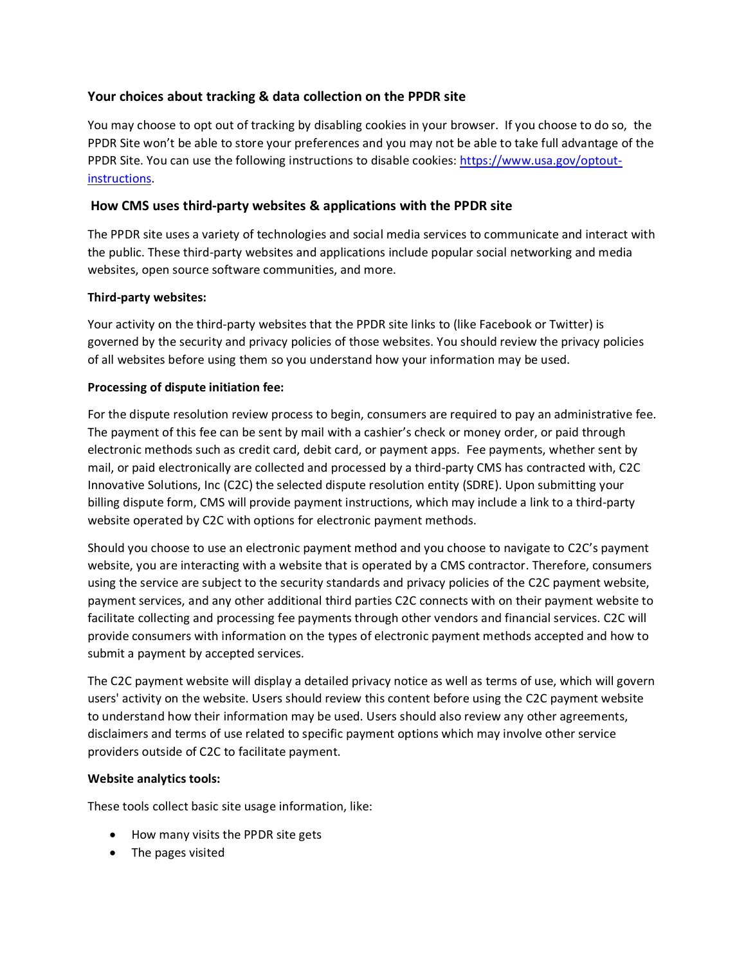# **Your choices about tracking & data collection on the PPDR site**

You may choose to opt out of tracking by disabling cookies in your browser. If you choose to do so, the PPDR Site won't be able to store your preferences and you may not be able to take full advantage of the PPDR Site. You can use the following instructions to disable cookies: [https://www.usa.gov/optout](https://www.usa.gov/optout-instructions)[instructions.](https://www.usa.gov/optout-instructions)

# **How CMS uses third-party websites & applications with the PPDR site**

The PPDR site uses a variety of technologies and social media services to communicate and interact with the public. These third-party websites and applications include popular social networking and media websites, open source software communities, and more.

## **Third-party websites:**

Your activity on the third-party websites that the PPDR site links to (like Facebook or Twitter) is governed by the security and privacy policies of those websites. You should review the privacy policies of all websites before using them so you understand how your information may be used.

## **Processing of dispute initiation fee:**

For the dispute resolution review process to begin, consumers are required to pay an administrative fee. The payment of this fee can be sent by mail with a cashier's check or money order, or paid through electronic methods such as credit card, debit card, or payment apps. Fee payments, whether sent by mail, or paid electronically are collected and processed by a third-party CMS has contracted with, C2C Innovative Solutions, Inc (C2C) the selected dispute resolution entity (SDRE). Upon submitting your billing dispute form, CMS will provide payment instructions, which may include a link to a third-party website operated by C2C with options for electronic payment methods.

Should you choose to use an electronic payment method and you choose to navigate to C2C's payment website, you are interacting with a website that is operated by a CMS contractor. Therefore, consumers using the service are subject to the security standards and privacy policies of the C2C payment website, payment services, and any other additional third parties C2C connects with on their payment website to facilitate collecting and processing fee payments through other vendors and financial services. C2C will provide consumers with information on the types of electronic payment methods accepted and how to submit a payment by accepted services.

The C2C payment website will display a detailed privacy notice as well as terms of use, which will govern users' activity on the website. Users should review this content before using the C2C payment website to understand how their information may be used. Users should also review any other agreements, disclaimers and terms of use related to specific payment options which may involve other service providers outside of C2C to facilitate payment.

## **Website analytics tools:**

These tools collect basic site usage information, like:

- How many visits the PPDR site gets
- The pages visited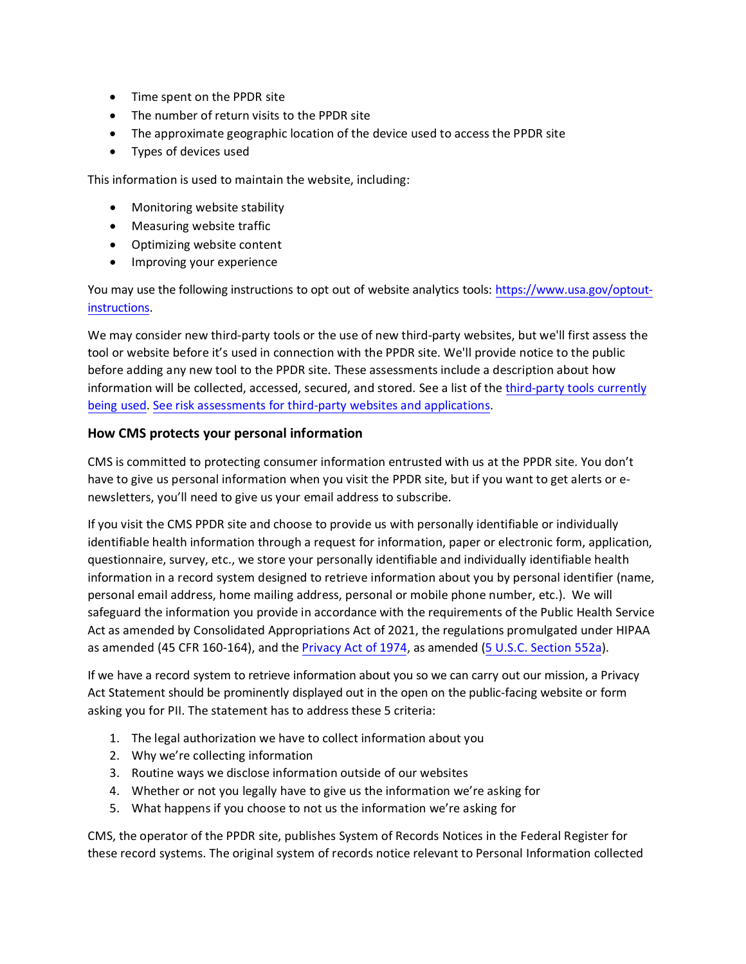- Time spent on the PPDR site
- The number of return visits to the PPDR site
- The approximate geographic location of the device used to access the PPDR site
- Types of devices used

This information is used to maintain the website, including:

- Monitoring website stability
- Measuring website traffic
- Optimizing website content
- Improving your experience

You may use the following instructions to opt out of website analytics tools: [https://www.usa.gov/optout](https://www.usa.gov/optout-instructions)[instructions.](https://www.usa.gov/optout-instructions) 

We may consider new third-party tools or the use of new third-party websites, but we'll first assess the tool or website before it's used in connection with the PPDR site. We'll provide notice to the public before adding any new tool to the PPDR site. These assessments include a description about how information will be collected, accessed, secured, and stored. See a list of the [third-party tools](https://www.cms.gov/privacy/third-party-privacy-policies) currently [being used.](https://www.cms.gov/privacy/third-party-privacy-policies) [See risk assessments for third-party](https://www.hhs.gov/pia/index.html) websites and applications.

## **How CMS protects your personal information**

CMS is committed to protecting consumer information entrusted with us at the PPDR site. You don't have to give us personal information when you visit the PPDR site, but if you want to get alerts or enewsletters, you'll need to give us your email address to subscribe.

If you visit the CMS PPDR site and choose to provide us with personally identifiable or individually identifiable health information through a request for information, paper or electronic form, application, questionnaire, survey, etc., we store your personally identifiable and individually identifiable health information in a record system designed to retrieve information about you by personal identifier (name, personal email address, home mailing address, personal or mobile phone number, etc.). We will safeguard the information you provide in accordance with the requirements of the Public Health Service Act as amended by Consolidated Appropriations Act of 2021, the regulations promulgated under HIPAA as amended (45 CFR 160-164), and th[e Privacy Act](https://www.gpo.gov/fdsys/pkg/USCODE-2012-title5/pdf/USCODE-2012-title5-partI-chap5-subchapII-sec552a.pdf) of 1974, as amended [\(5 U.S.C. Section 552a\)](https://www.gpo.gov/fdsys/granule/USCODE-2010-title5/USCODE-2010-title5-partI-chap5-subchapII-sec552a/content-detail.html).

If we have a record system to retrieve information about you so we can carry out our mission, a Privacy Act Statement should be prominently displayed out in the open on the public-facing website or form asking you for PII. The statement has to address these 5 criteria:

- 1. The legal authorization we have to collect information about you
- 2. Why we're collecting information
- 3. Routine ways we disclose information outside of our websites
- 4. Whether or not you legally have to give us the information we're asking for
- 5. What happens if you choose to not us the information we're asking for

CMS, the operator of the PPDR site, publishes System of Records Notices in the Federal Register for these record systems. The original system of records notice relevant to Personal Information collected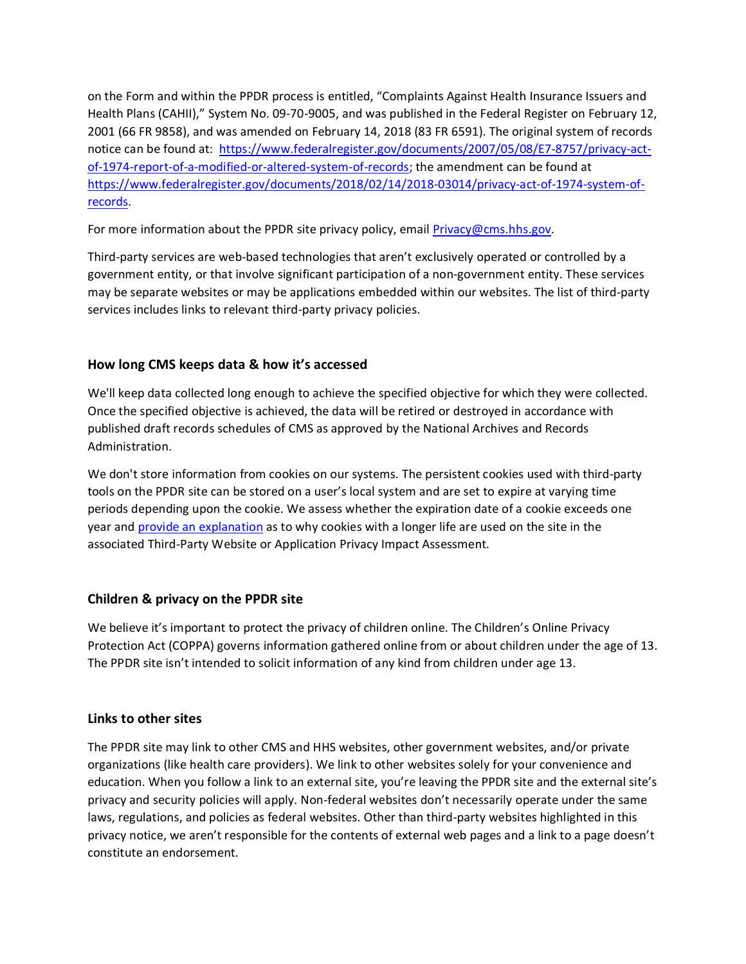on the Form and within the PPDR process is entitled, "Complaints Against Health Insurance Issuers and Health Plans (CAHII)," System No. 09-70-9005, and was published in the Federal Register on February 12, 2001 (66 FR 9858), and was amended on February 14, 2018 (83 FR 6591). The original system of records notice can be found at: https://www.federalregister.gov/documents/2007/05/08/E7-8757/privacy-actof-1974-report-of-a-modified-or-altered-system-of-records; the amendment can be found at [https://www.federalregister.gov/documents/2018/02/14/2018-03014/privacy-act-of-1974-system-of](https://www.federalregister.gov/documents/2018/02/14/2018-03014/privacy-act-of-1974-system-of-records)[records.](https://www.federalregister.gov/documents/2018/02/14/2018-03014/privacy-act-of-1974-system-of-records) 

For more information about the PPDR site privacy policy, email [Privacy@cms.hhs.gov.](mailto:Privacy@cms.hhs.gov)

Third-party services are web-based technologies that aren't exclusively operated or controlled by a government entity, or that involve significant participation of a non-government entity. These services may be separate websites or may be applications embedded within our websites. The list of third-party services includes links to relevant third-party privacy policies.

# **How long CMS keeps data & how it's accessed**

We'll keep data collected long enough to achieve the specified objective for which they were collected. Once the specified objective is achieved, the data will be retired or destroyed in accordance with published draft records schedules of CMS as approved by the National Archives and Records Administration.

We don't store information from cookies on our systems. The persistent cookies used with third-party tools on the PPDR site can be stored on a user's local system and are set to expire at varying time periods depending upon the cookie. We assess whether the expiration date of a cookie exceeds one year and provide [an explanation](https://www.hhs.gov/pia/index.html) as to why cookies with a longer life are used on the site in the associated Third-Party Website or Application Privacy Impact Assessment.

# **Children & privacy on the PPDR site**

We believe it's important to protect the privacy of children online. The Children's Online Privacy Protection Act (COPPA) governs information gathered online from or about children under the age of 13. The PPDR site isn't intended to solicit information of any kind from children under age 13.

# **Links to other sites**

The PPDR site may link to other CMS and HHS websites, other government websites, and/or private organizations (like health care providers). We link to other websites solely for your convenience and education. When you follow a link to an external site, you're leaving the PPDR site and the external site's privacy and security policies will apply. Non-federal websites don't necessarily operate under the same laws, regulations, and policies as federal websites. Other than third-party websites highlighted in this privacy notice, we aren't responsible for the contents of external web pages and a link to a page doesn't constitute an endorsement.